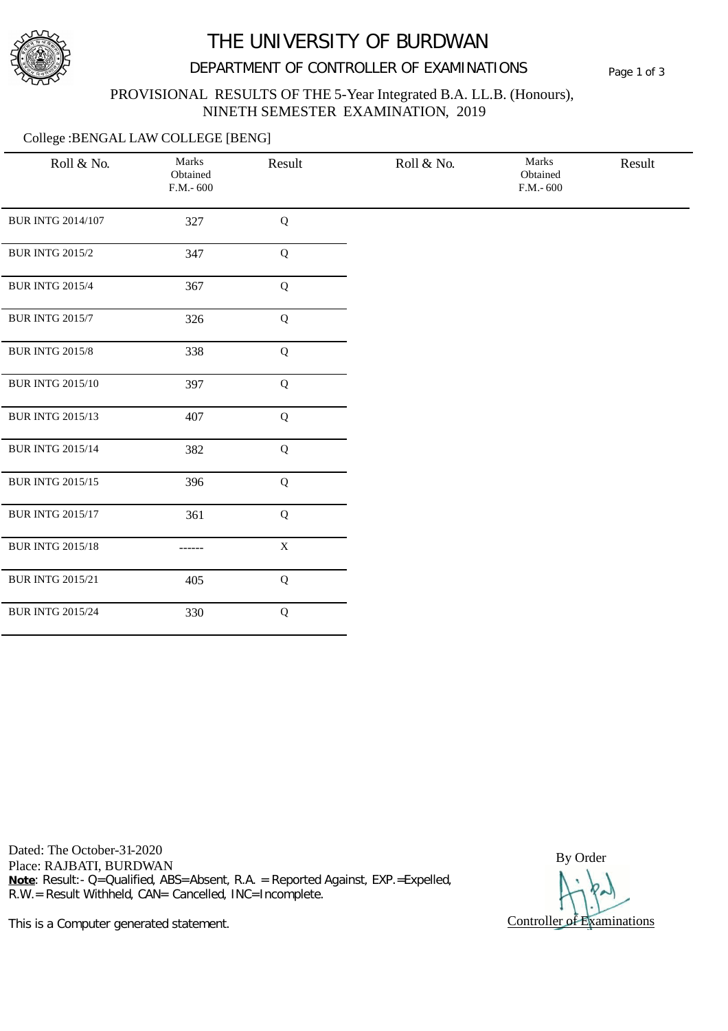

# THE UNIVERSITY OF BURDWAN

## DEPARTMENT OF CONTROLLER OF EXAMINATIONS Page 1 of 3

#### PROVISIONAL RESULTS OF THE 5-Year Integrated B.A. LL.B. (Honours), NINETH SEMESTER EXAMINATION, 2019

#### College :BENGAL LAW COLLEGE [BENG]

| Roll & No.               | Marks<br>Obtained<br>$F.M.-600$ | Result      | Roll & No. | Marks<br>Obtained<br>$F.M.-600$ | Result |
|--------------------------|---------------------------------|-------------|------------|---------------------------------|--------|
|                          |                                 |             |            |                                 |        |
| <b>BUR INTG 2014/107</b> | 327                             | Q           |            |                                 |        |
| <b>BUR INTG 2015/2</b>   | 347                             | $\mathbf Q$ |            |                                 |        |
| <b>BUR INTG 2015/4</b>   | 367                             | $\mathbf Q$ |            |                                 |        |
| <b>BUR INTG 2015/7</b>   | 326                             | $\bf Q$     |            |                                 |        |
| <b>BUR INTG 2015/8</b>   | 338                             | $\mathbf Q$ |            |                                 |        |
| <b>BUR INTG 2015/10</b>  | 397                             | $\mathbf Q$ |            |                                 |        |
| <b>BUR INTG 2015/13</b>  | 407                             | $\bf Q$     |            |                                 |        |
| <b>BUR INTG 2015/14</b>  | 382                             | $\bf Q$     |            |                                 |        |
| <b>BUR INTG 2015/15</b>  | 396                             | $\mathbf Q$ |            |                                 |        |
| <b>BUR INTG 2015/17</b>  | 361                             | $\bf Q$     |            |                                 |        |
| <b>BUR INTG 2015/18</b>  | ------                          | $\mathbf X$ |            |                                 |        |
| <b>BUR INTG 2015/21</b>  | 405                             | $\mathbf Q$ |            |                                 |        |
| <b>BUR INTG 2015/24</b>  | 330                             | $\mathbf Q$ |            |                                 |        |

Dated: The October-31-2020 Dated: The October-31-2020<br>Place: RAJBATI, BURDWAN BY Order **Note**: Result:- Q=Qualified, ABS=Absent, R.A. = Reported Against, EXP.=Expelled, R.W.= Result Withheld, CAN= Cancelled, INC=Incomplete.

Controller of Examinations

This is a Computer generated statement.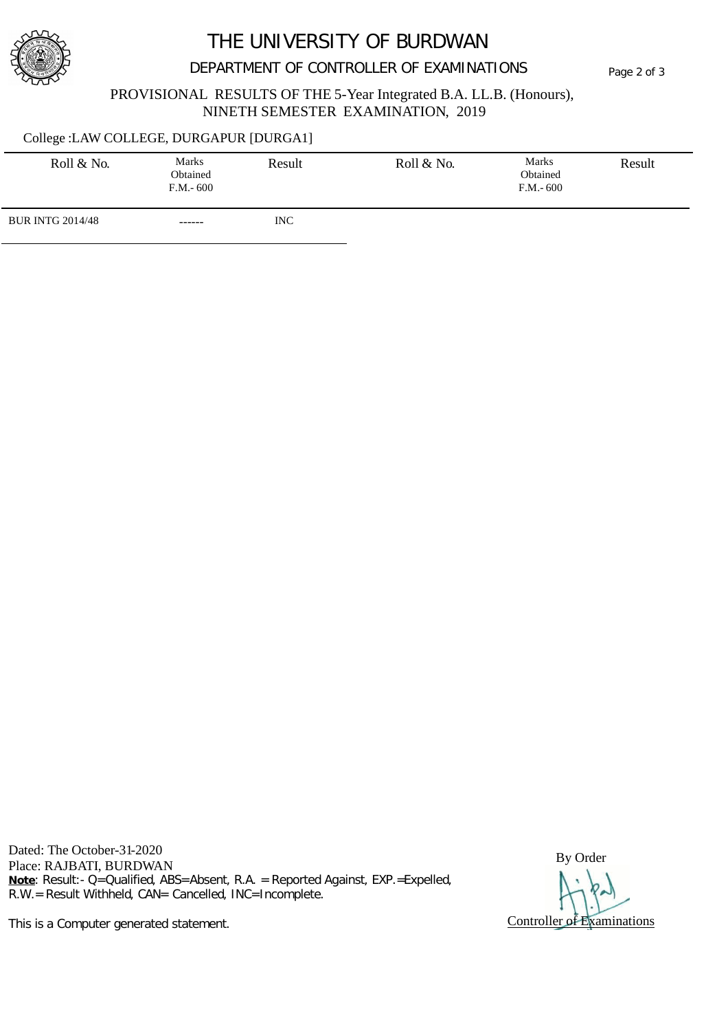

# THE UNIVERSITY OF BURDWAN

## DEPARTMENT OF CONTROLLER OF EXAMINATIONS Page 2 of 3

#### PROVISIONAL RESULTS OF THE 5-Year Integrated B.A. LL.B. (Honours), NINETH SEMESTER EXAMINATION, 2019

#### College :LAW COLLEGE, DURGAPUR [DURGA1]

| Roll & No.              | <b>Marks</b><br>Obtained<br>$F.M.-600$ | Result     | Roll & No. | Marks<br>Obtained<br>$F.M.-600$ | Result |
|-------------------------|----------------------------------------|------------|------------|---------------------------------|--------|
| <b>BUR INTG 2014/48</b> | ------                                 | <b>INC</b> |            |                                 |        |

Dated: The October-31-2020 Dated: The October-31-2020<br>Place: RAJBATI, BURDWAN BY Order **Note**: Result:- Q=Qualified, ABS=Absent, R.A. = Reported Against, EXP.=Expelled, R.W.= Result Withheld, CAN= Cancelled, INC=Incomplete.

Controller of Examinations

This is a Computer generated statement.